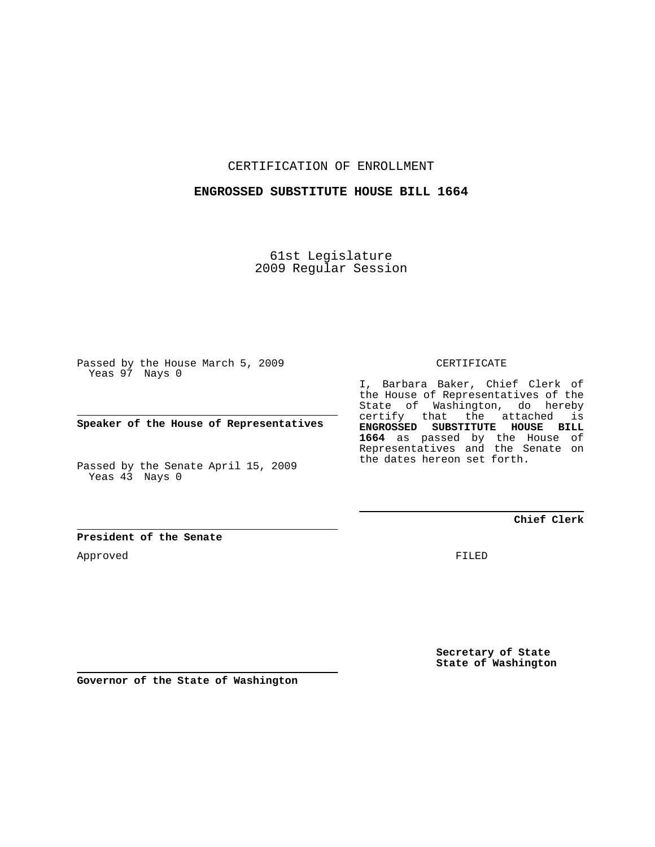CERTIFICATION OF ENROLLMENT

## **ENGROSSED SUBSTITUTE HOUSE BILL 1664**

61st Legislature 2009 Regular Session

Passed by the House March 5, 2009 Yeas 97 Nays 0

**Speaker of the House of Representatives**

Passed by the Senate April 15, 2009 Yeas 43 Nays 0

CERTIFICATE

I, Barbara Baker, Chief Clerk of the House of Representatives of the State of Washington, do hereby certify that the attached is **ENGROSSED SUBSTITUTE HOUSE BILL 1664** as passed by the House of Representatives and the Senate on the dates hereon set forth.

**Chief Clerk**

**President of the Senate**

Approved

FILED

**Secretary of State State of Washington**

**Governor of the State of Washington**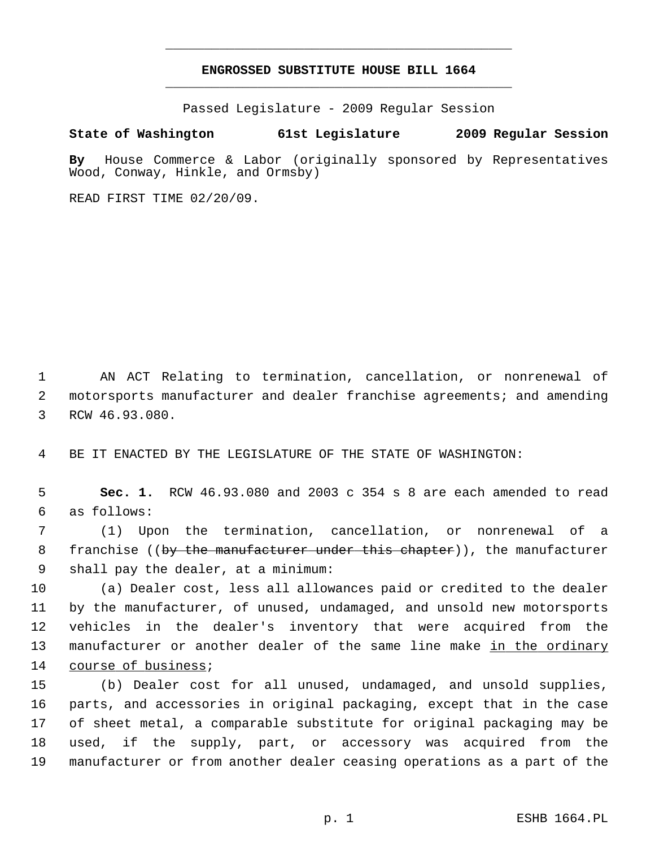## **ENGROSSED SUBSTITUTE HOUSE BILL 1664** \_\_\_\_\_\_\_\_\_\_\_\_\_\_\_\_\_\_\_\_\_\_\_\_\_\_\_\_\_\_\_\_\_\_\_\_\_\_\_\_\_\_\_\_\_

\_\_\_\_\_\_\_\_\_\_\_\_\_\_\_\_\_\_\_\_\_\_\_\_\_\_\_\_\_\_\_\_\_\_\_\_\_\_\_\_\_\_\_\_\_

Passed Legislature - 2009 Regular Session

## **State of Washington 61st Legislature 2009 Regular Session**

**By** House Commerce & Labor (originally sponsored by Representatives Wood, Conway, Hinkle, and Ormsby)

READ FIRST TIME 02/20/09.

 1 AN ACT Relating to termination, cancellation, or nonrenewal of 2 motorsports manufacturer and dealer franchise agreements; and amending 3 RCW 46.93.080.

4 BE IT ENACTED BY THE LEGISLATURE OF THE STATE OF WASHINGTON:

 5 **Sec. 1.** RCW 46.93.080 and 2003 c 354 s 8 are each amended to read 6 as follows:

 7 (1) Upon the termination, cancellation, or nonrenewal of a 8 franchise ((by the manufacturer under this chapter)), the manufacturer 9 shall pay the dealer, at a minimum:

10 (a) Dealer cost, less all allowances paid or credited to the dealer 11 by the manufacturer, of unused, undamaged, and unsold new motorsports 12 vehicles in the dealer's inventory that were acquired from the 13 manufacturer or another dealer of the same line make in the ordinary 14 course of business;

15 (b) Dealer cost for all unused, undamaged, and unsold supplies, 16 parts, and accessories in original packaging, except that in the case 17 of sheet metal, a comparable substitute for original packaging may be 18 used, if the supply, part, or accessory was acquired from the 19 manufacturer or from another dealer ceasing operations as a part of the